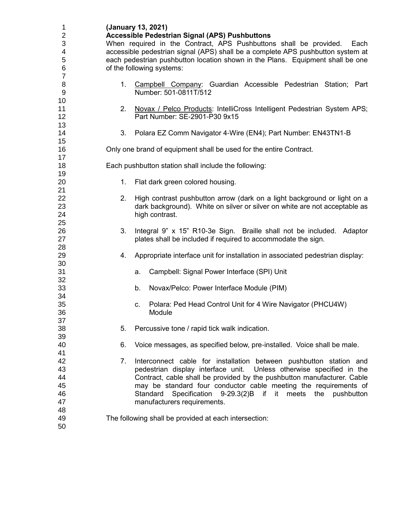| 1<br>$\overline{2}$ |                                                                                 | (January 13, 2021)<br><b>Accessible Pedestrian Signal (APS) Pushbuttons</b>                  |  |
|---------------------|---------------------------------------------------------------------------------|----------------------------------------------------------------------------------------------|--|
| 3                   | When required in the Contract, APS Pushbuttons shall be provided.<br>Each       |                                                                                              |  |
| 4                   | accessible pedestrian signal (APS) shall be a complete APS pushbutton system at |                                                                                              |  |
| 5                   |                                                                                 | each pedestrian pushbutton location shown in the Plans. Equipment shall be one               |  |
| 6                   |                                                                                 | of the following systems:                                                                    |  |
| $\overline{7}$      |                                                                                 |                                                                                              |  |
| 8                   | 1.                                                                              | Campbell Company: Guardian Accessible Pedestrian Station; Part                               |  |
| 9                   |                                                                                 | Number: 501-0811T/512                                                                        |  |
| 10                  |                                                                                 |                                                                                              |  |
| 11                  | 2.                                                                              | Novax / Pelco Products: IntelliCross Intelligent Pedestrian System APS;                      |  |
| 12                  |                                                                                 | Part Number: SE-2901-P30 9x15                                                                |  |
| 13                  |                                                                                 |                                                                                              |  |
| 14                  | 3.                                                                              | Polara EZ Comm Navigator 4-Wire (EN4); Part Number: EN43TN1-B                                |  |
| 15                  |                                                                                 |                                                                                              |  |
| 16                  |                                                                                 | Only one brand of equipment shall be used for the entire Contract.                           |  |
| 17                  |                                                                                 |                                                                                              |  |
| 18                  |                                                                                 | Each pushbutton station shall include the following:                                         |  |
| 19                  |                                                                                 |                                                                                              |  |
| 20                  | 1.                                                                              | Flat dark green colored housing.                                                             |  |
| 21                  |                                                                                 |                                                                                              |  |
| 22                  | 2.                                                                              | High contrast pushbutton arrow (dark on a light background or light on a                     |  |
| 23                  |                                                                                 | dark background). White on silver or silver on white are not acceptable as                   |  |
| 24                  |                                                                                 | high contrast.                                                                               |  |
| 25                  |                                                                                 |                                                                                              |  |
| 26                  | 3.                                                                              | Integral 9" x 15" R10-3e Sign. Braille shall not be included. Adaptor                        |  |
| 27                  |                                                                                 | plates shall be included if required to accommodate the sign.                                |  |
| 28                  |                                                                                 |                                                                                              |  |
| 29                  | 4.                                                                              | Appropriate interface unit for installation in associated pedestrian display:                |  |
| 30                  |                                                                                 |                                                                                              |  |
| 31                  |                                                                                 | Campbell: Signal Power Interface (SPI) Unit<br>a.                                            |  |
| 32                  |                                                                                 |                                                                                              |  |
| 33                  |                                                                                 | Novax/Pelco: Power Interface Module (PIM)<br>b.                                              |  |
| 34                  |                                                                                 |                                                                                              |  |
| 35                  |                                                                                 | Polara: Ped Head Control Unit for 4 Wire Navigator (PHCU4W)                                  |  |
| 36                  |                                                                                 | c.<br>Module                                                                                 |  |
| 37                  |                                                                                 |                                                                                              |  |
| 38                  | 5.                                                                              | Percussive tone / rapid tick walk indication.                                                |  |
| 39                  |                                                                                 |                                                                                              |  |
| 40                  | 6.                                                                              | Voice messages, as specified below, pre-installed. Voice shall be male.                      |  |
| 41                  |                                                                                 |                                                                                              |  |
| 42                  | 7.                                                                              | Interconnect cable for installation between pushbutton station and                           |  |
| 43                  |                                                                                 | pedestrian display interface unit. Unless otherwise specified in the                         |  |
| 44                  |                                                                                 | Contract, cable shall be provided by the pushbutton manufacturer. Cable                      |  |
| 45                  |                                                                                 |                                                                                              |  |
| 46                  |                                                                                 | may be standard four conductor cable meeting the requirements of<br>Standard<br>meets<br>the |  |
| 47                  |                                                                                 | Specification 9-29.3(2)B if it<br>pushbutton<br>manufacturers requirements.                  |  |
| 48                  |                                                                                 |                                                                                              |  |
| 49                  |                                                                                 |                                                                                              |  |
| 50                  |                                                                                 | The following shall be provided at each intersection:                                        |  |
|                     |                                                                                 |                                                                                              |  |